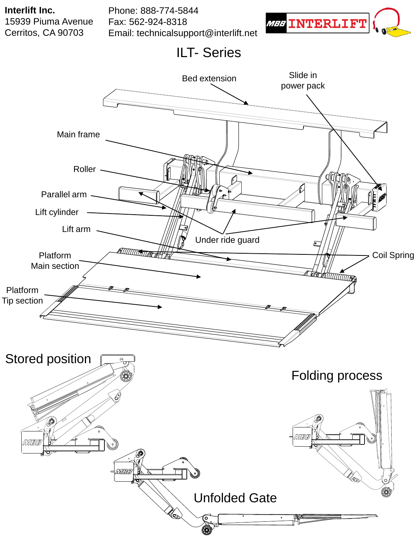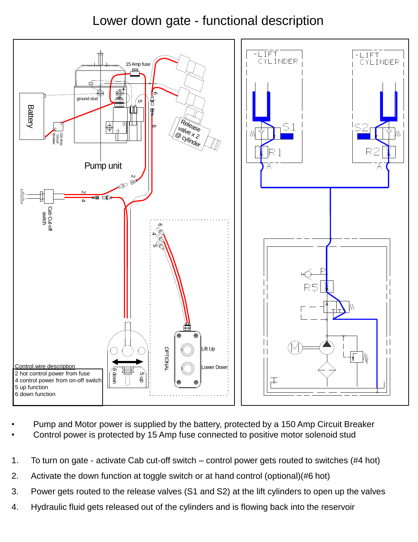## Lower down gate - functional description



- Pump and Motor power is supplied by the battery, protected by a 150 Amp Circuit Breaker
- Control power is protected by 15 Amp fuse connected to positive motor solenoid stud
- 1. To turn on gate activate Cab cut-off switch control power gets routed to switches (#4 hot)
- 2. Activate the down function at toggle switch or at hand control (optional)(#6 hot)
- 3. Power gets routed to the release valves (S1 and S2) at the lift cylinders to open up the valves
- 4. Hydraulic fluid gets released out of the cylinders and is flowing back into the reservoir